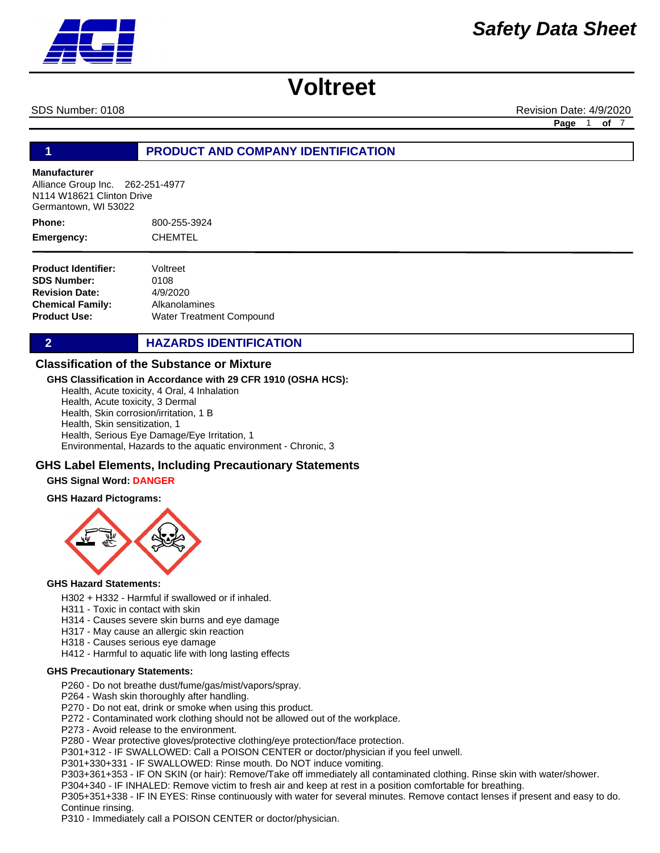SDS Number: 0108 **Revision Date: 4/9/2020** Revision Date: 4/9/2020

**Page** 1 **of** 7

#### **1 PRODUCT AND COMPANY IDENTIFICATION**

#### **Manufacturer**

Alliance Group Inc. 262-251-4977 N114 W18621 Clinton Drive Germantown, WI 53022

800-255-3924 CHEMTEL **Phone: Emergency:**

**Product Identifier: SDS Number: Revision Date: Chemical Family: Product Use:** Voltreet 0108 4/9/2020 Alkanolamines Water Treatment Compound

**2 HAZARDS IDENTIFICATION** 

#### **Classification of the Substance or Mixture**

#### **GHS Classification in Accordance with 29 CFR 1910 (OSHA HCS):**

Health, Acute toxicity, 4 Oral, 4 Inhalation Health, Acute toxicity, 3 Dermal Health, Skin corrosion/irritation, 1 B Health, Skin sensitization, 1 Health, Serious Eye Damage/Eye Irritation, 1 Environmental, Hazards to the aquatic environment - Chronic, 3

#### **GHS Label Elements, Including Precautionary Statements**

#### **GHS Signal Word: DANGER**

#### **GHS Hazard Pictograms:**



#### **GHS Hazard Statements:**

- H302 + H332 Harmful if swallowed or if inhaled.
- H311 Toxic in contact with skin
- H314 Causes severe skin burns and eye damage
- H317 May cause an allergic skin reaction
- H318 Causes serious eye damage
- H412 Harmful to aquatic life with long lasting effects

#### **GHS Precautionary Statements:**

- P260 Do not breathe dust/fume/gas/mist/vapors/spray.
- P264 Wash skin thoroughly after handling.
- P270 Do not eat, drink or smoke when using this product.
- P272 Contaminated work clothing should not be allowed out of the workplace.
- P273 Avoid release to the environment.
- P280 Wear protective gloves/protective clothing/eye protection/face protection.

P301+312 - IF SWALLOWED: Call a POISON CENTER or doctor/physician if you feel unwell.

P301+330+331 - IF SWALLOWED: Rinse mouth. Do NOT induce vomiting.

- P303+361+353 IF ON SKIN (or hair): Remove/Take off immediately all contaminated clothing. Rinse skin with water/shower.
- P304+340 IF INHALED: Remove victim to fresh air and keep at rest in a position comfortable for breathing.

P305+351+338 - IF IN EYES: Rinse continuously with water for several minutes. Remove contact lenses if present and easy to do. Continue rinsing.

P310 - Immediately call a POISON CENTER or doctor/physician.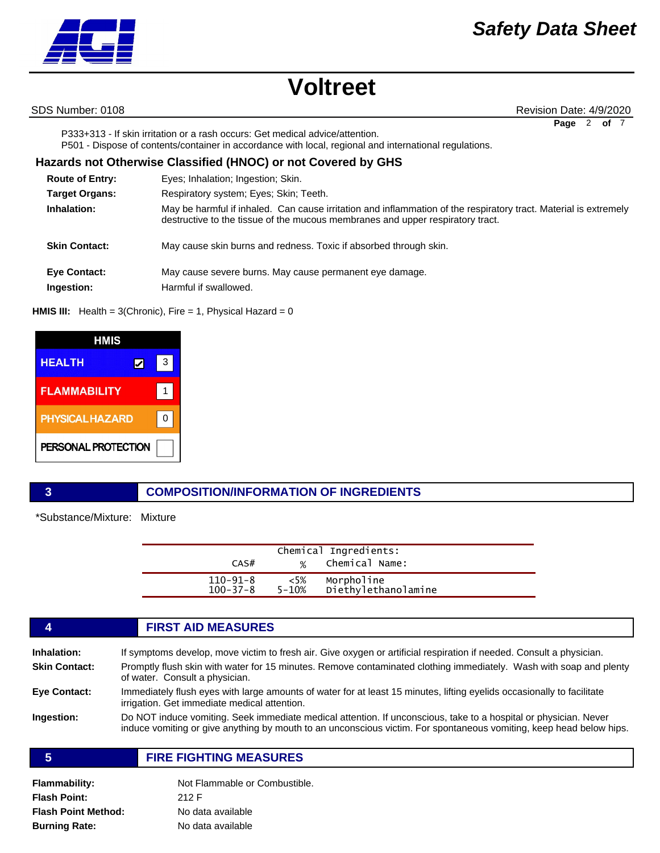SDS Number: 0108 **Revision Date: 4/9/2020** Revision Date: 4/9/2020

Page 2 of

P333+313 - If skin irritation or a rash occurs: Get medical advice/attention. P501 - Dispose of contents/container in accordance with local, regional and international regulations.

#### **Route of Entry: Target Organs: Inhalation: Skin Contact: Eye Contact:** Respiratory system; Eyes; Skin; Teeth. May be harmful if inhaled. Can cause irritation and inflammation of the respiratory tract. Material is extremely destructive to the tissue of the mucous membranes and upper respiratory tract. May cause skin burns and redness. Toxic if absorbed through skin. May cause severe burns. May cause permanent eye damage. **Ingestion:** Harmful if swallowed. Eyes; Inhalation; Ingestion; Skin. **Hazards not Otherwise Classified (HNOC) or not Covered by GHS**

#### **HMIS III:** Health = 3(Chronic), Fire = 1, Physical Hazard = 0



### **3 COMPOSITION/INFORMATION OF INGREDIENTS**

\*Substance/Mixture: Mixture

| CAS#                             | %               | Chemical Ingredients:<br>Chemical Name: |  |
|----------------------------------|-----------------|-----------------------------------------|--|
| $110 - 91 - 8$<br>$100 - 37 - 8$ | $<5\%$<br>5-10% | Morpholine<br>Diethylethanolamine       |  |

### **4 FIRST AID MEASURES Inhalation:** If symptoms develop, move victim to fresh air. Give oxygen or artificial respiration if needed. Consult a physician. **Skin Contact:** Promptly flush skin with water for 15 minutes. Remove contaminated clothing immediately. Wash with soap and plenty of water. Consult a physician. **Eye Contact:** Immediately flush eyes with large amounts of water for at least 15 minutes, lifting eyelids occasionally to facilitate irrigation. Get immediate medical attention. **Ingestion:** Do NOT induce vomiting. Seek immediate medical attention. If unconscious, take to a hospital or physician. Never induce vomiting or give anything by mouth to an unconscious victim. For spontaneous vomiting, keep head below hips. **5 FIRE FIGHTING MEASURES**

**Flammability:** Not Flammable or Combustible. **Flash Point:** 212 F **Burning Rate:** No data available **Flash Point Method:** No data available

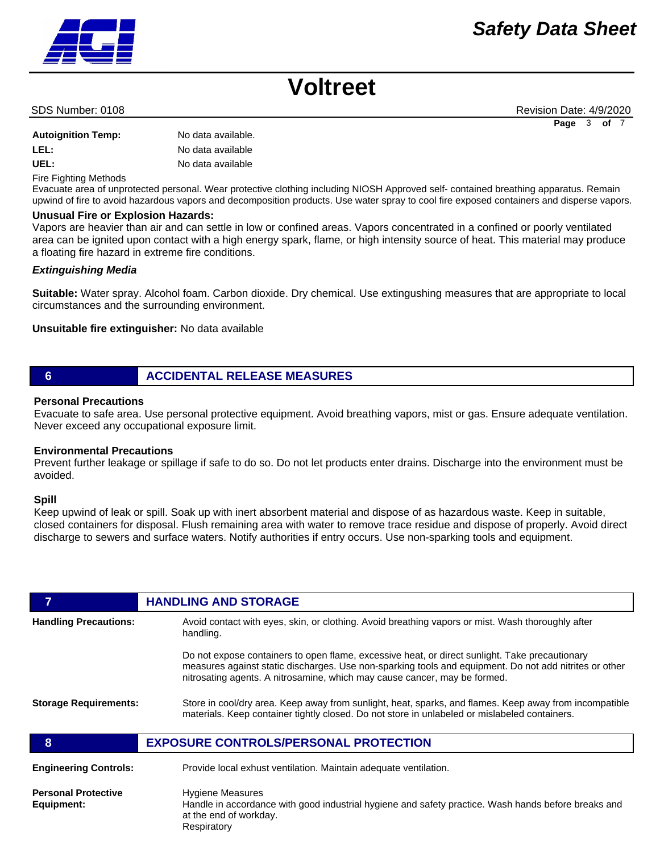**Page** 3 **of** 7

## **Voltreet**

#### SDS Number: 0108 **Revision Date: 4/9/2020** Revision Date: 4/9/2020

| <b>Autoignition Temp:</b> | No data available. |
|---------------------------|--------------------|
| LEL:                      | No data available  |
| UEL:                      | No data available  |

Fire Fighting Methods

Evacuate area of unprotected personal. Wear protective clothing including NIOSH Approved self- contained breathing apparatus. Remain upwind of fire to avoid hazardous vapors and decomposition products. Use water spray to cool fire exposed containers and disperse vapors.

#### **Unusual Fire or Explosion Hazards:**

Vapors are heavier than air and can settle in low or confined areas. Vapors concentrated in a confined or poorly ventilated area can be ignited upon contact with a high energy spark, flame, or high intensity source of heat. This material may produce a floating fire hazard in extreme fire conditions.

#### *Extinguishing Media*

**Suitable:** Water spray. Alcohol foam. Carbon dioxide. Dry chemical. Use extingushing measures that are appropriate to local circumstances and the surrounding environment.

**Unsuitable fire extinguisher:** No data available

### **6 ACCIDENTAL RELEASE MEASURES**

#### **Personal Precautions**

Evacuate to safe area. Use personal protective equipment. Avoid breathing vapors, mist or gas. Ensure adequate ventilation. Never exceed any occupational exposure limit.

#### **Environmental Precautions**

Prevent further leakage or spillage if safe to do so. Do not let products enter drains. Discharge into the environment must be avoided.

#### **Spill**

Keep upwind of leak or spill. Soak up with inert absorbent material and dispose of as hazardous waste. Keep in suitable, closed containers for disposal. Flush remaining area with water to remove trace residue and dispose of properly. Avoid direct discharge to sewers and surface waters. Notify authorities if entry occurs. Use non-sparking tools and equipment.

|                                          | <b>HANDLING AND STORAGE</b>                                                                                                                                                                                                                                                           |
|------------------------------------------|---------------------------------------------------------------------------------------------------------------------------------------------------------------------------------------------------------------------------------------------------------------------------------------|
| <b>Handling Precautions:</b>             | Avoid contact with eyes, skin, or clothing. Avoid breathing vapors or mist. Wash thoroughly after<br>handling.                                                                                                                                                                        |
|                                          | Do not expose containers to open flame, excessive heat, or direct sunlight. Take precautionary<br>measures against static discharges. Use non-sparking tools and equipment. Do not add nitrites or other<br>nitrosating agents. A nitrosamine, which may cause cancer, may be formed. |
| <b>Storage Requirements:</b>             | Store in cool/dry area. Keep away from sunlight, heat, sparks, and flames. Keep away from incompatible<br>materials. Keep container tightly closed. Do not store in unlabeled or mislabeled containers.                                                                               |
| 8                                        | <b>EXPOSURE CONTROLS/PERSONAL PROTECTION</b>                                                                                                                                                                                                                                          |
| <b>Engineering Controls:</b>             | Provide local exhust ventilation. Maintain adequate ventilation.                                                                                                                                                                                                                      |
| <b>Personal Protective</b><br>Equipment: | <b>Hygiene Measures</b><br>Handle in accordance with good industrial hygiene and safety practice. Wash hands before breaks and                                                                                                                                                        |

Handle in accordance with good industrial hygiene and safety practice. Wash hands before breaks and at the end of workday. Respiratory

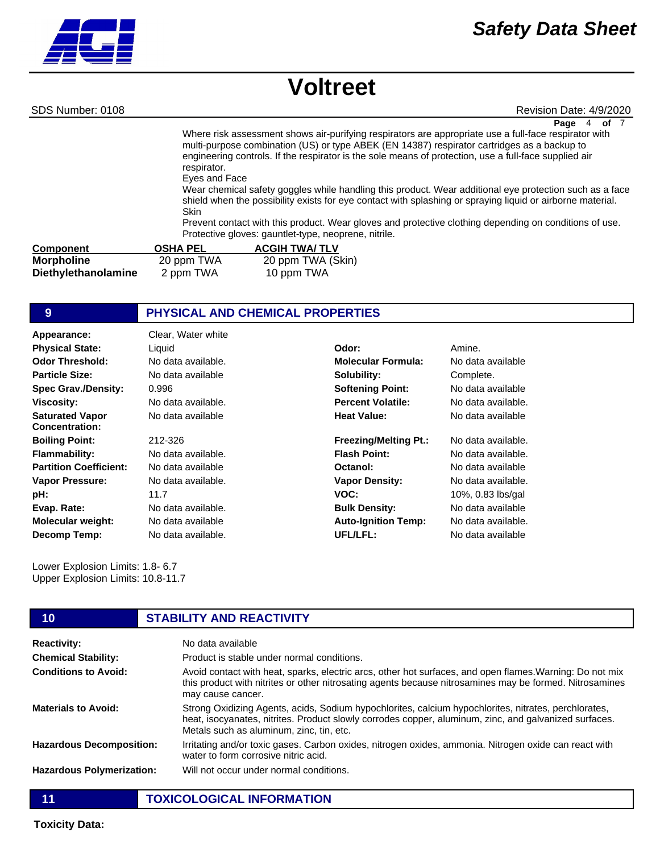SDS Number: 0108 **Revision Date: 4/9/2020** Revision Date: 4/9/2020

**Page** 4 **of** 7

Where risk assessment shows air-purifying respirators are appropriate use a full-face respirator with multi-purpose combination (US) or type ABEK (EN 14387) respirator cartridges as a backup to engineering controls. If the respirator is the sole means of protection, use a full-face supplied air respirator.

Eyes and Face

Wear chemical safety goggles while handling this product. Wear additional eye protection such as a face shield when the possibility exists for eye contact with splashing or spraying liquid or airborne material. Skin

Prevent contact with this product. Wear gloves and protective clothing depending on conditions of use. Protective gloves: gauntlet-type, neoprene, nitrile.

| Component           | <b>OSHA PEL</b> | <b>ACGIH TWA/TLV</b> |
|---------------------|-----------------|----------------------|
| <b>Morpholine</b>   | 20 ppm TWA      | 20 ppm TWA (Skin)    |
| Diethylethanolamine | 2 ppm TWA       | 10 ppm TWA           |

#### **9 PHYSICAL AND CHEMICAL PROPERTIES**

| Appearance:                                     | Clear, Water white |                              |                    |
|-------------------------------------------------|--------------------|------------------------------|--------------------|
| <b>Physical State:</b>                          | Liquid             | Odor:                        | Amine.             |
| <b>Odor Threshold:</b>                          | No data available. | <b>Molecular Formula:</b>    | No data available  |
| <b>Particle Size:</b>                           | No data available  | Solubility:                  | Complete.          |
| <b>Spec Grav./Density:</b>                      | 0.996              | <b>Softening Point:</b>      | No data available  |
| <b>Viscosity:</b>                               | No data available. | <b>Percent Volatile:</b>     | No data available. |
| <b>Saturated Vapor</b><br><b>Concentration:</b> | No data available  | <b>Heat Value:</b>           | No data available  |
| <b>Boiling Point:</b>                           | 212-326            | <b>Freezing/Melting Pt.:</b> | No data available. |
| <b>Flammability:</b>                            | No data available. | <b>Flash Point:</b>          | No data available. |
| <b>Partition Coefficient:</b>                   | No data available  | Octanol:                     | No data available  |
| <b>Vapor Pressure:</b>                          | No data available. | <b>Vapor Density:</b>        | No data available. |
| pH:                                             | 11.7               | VOC:                         | 10%, 0.83 lbs/gal  |
| Evap. Rate:                                     | No data available. | <b>Bulk Density:</b>         | No data available  |
| <b>Molecular weight:</b>                        | No data available  | <b>Auto-Ignition Temp:</b>   | No data available. |
| Decomp Temp:                                    | No data available. | UFL/LFL:                     | No data available  |

Lower Explosion Limits: 1.8- 6.7 Upper Explosion Limits: 10.8-11.7

| 10                               | <b>STABILITY AND REACTIVITY</b>                                                                                                                                                                                                                           |
|----------------------------------|-----------------------------------------------------------------------------------------------------------------------------------------------------------------------------------------------------------------------------------------------------------|
| <b>Reactivity:</b>               | No data available                                                                                                                                                                                                                                         |
| <b>Chemical Stability:</b>       | Product is stable under normal conditions.                                                                                                                                                                                                                |
| <b>Conditions to Avoid:</b>      | Avoid contact with heat, sparks, electric arcs, other hot surfaces, and open flames. Warning: Do not mix<br>this product with nitrites or other nitrosating agents because nitrosamines may be formed. Nitrosamines<br>may cause cancer.                  |
| <b>Materials to Avoid:</b>       | Strong Oxidizing Agents, acids, Sodium hypochlorites, calcium hypochlorites, nitrates, perchlorates,<br>heat, isocyanates, nitrites. Product slowly corrodes copper, aluminum, zinc, and galvanized surfaces.<br>Metals such as aluminum, zinc, tin, etc. |
| <b>Hazardous Decomposition:</b>  | Irritating and/or toxic gases. Carbon oxides, nitrogen oxides, ammonia. Nitrogen oxide can react with<br>water to form corrosive nitric acid.                                                                                                             |
| <b>Hazardous Polymerization:</b> | Will not occur under normal conditions.                                                                                                                                                                                                                   |

**11 TOXICOLOGICAL INFORMATION**

**Toxicity Data:**

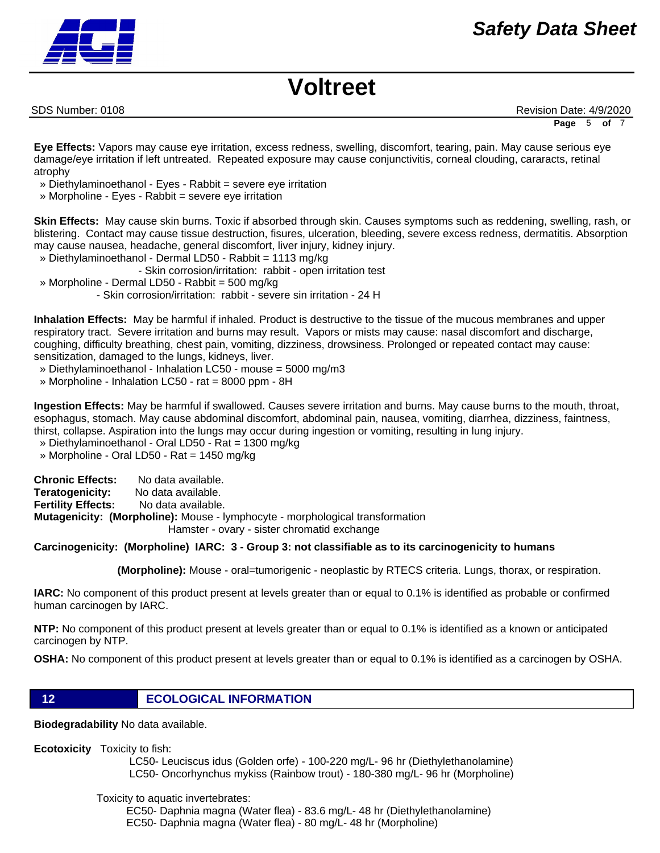SDS Number: 0108 **Revision Date: 4/9/2020** Revision Date: 4/9/2020

**Page** 5 **of** 7

**Eye Effects:** Vapors may cause eye irritation, excess redness, swelling, discomfort, tearing, pain. May cause serious eye damage/eye irritation if left untreated. Repeated exposure may cause conjunctivitis, corneal clouding, cararacts, retinal atrophy

- » Diethylaminoethanol Eyes Rabbit = severe eye irritation
- » Morpholine Eyes Rabbit = severe eye irritation

**Skin Effects:** May cause skin burns. Toxic if absorbed through skin. Causes symptoms such as reddening, swelling, rash, or blistering. Contact may cause tissue destruction, fisures, ulceration, bleeding, severe excess redness, dermatitis. Absorption may cause nausea, headache, general discomfort, liver injury, kidney injury.

» Diethylaminoethanol - Dermal LD50 - Rabbit = 1113 mg/kg

- Skin corrosion/irritation: rabbit - open irritation test

» Morpholine - Dermal LD50 - Rabbit = 500 mg/kg

- Skin corrosion/irritation: rabbit - severe sin irritation - 24 H

**Inhalation Effects:** May be harmful if inhaled. Product is destructive to the tissue of the mucous membranes and upper respiratory tract. Severe irritation and burns may result. Vapors or mists may cause: nasal discomfort and discharge, coughing, difficulty breathing, chest pain, vomiting, dizziness, drowsiness. Prolonged or repeated contact may cause: sensitization, damaged to the lungs, kidneys, liver.

- » Diethylaminoethanol Inhalation LC50 mouse = 5000 mg/m3
- » Morpholine Inhalation LC50 rat = 8000 ppm 8H

**Ingestion Effects:** May be harmful if swallowed. Causes severe irritation and burns. May cause burns to the mouth, throat, esophagus, stomach. May cause abdominal discomfort, abdominal pain, nausea, vomiting, diarrhea, dizziness, faintness, thirst, collapse. Aspiration into the lungs may occur during ingestion or vomiting, resulting in lung injury.

» Diethylaminoethanol - Oral LD50 - Rat = 1300 mg/kg

» Morpholine - Oral LD50 - Rat = 1450 mg/kg

**Chronic Effects:** No data available. **Teratogenicity:** No data available. **Fertility Effects:** No data available. **Mutagenicity: (Morpholine):** Mouse - lymphocyte - morphological transformation Hamster - ovary - sister chromatid exchange

#### **Carcinogenicity: (Morpholine) IARC: 3 - Group 3: not classifiable as to its carcinogenicity to humans**

 **(Morpholine):** Mouse - oral=tumorigenic - neoplastic by RTECS criteria. Lungs, thorax, or respiration.

**IARC:** No component of this product present at levels greater than or equal to 0.1% is identified as probable or confirmed human carcinogen by IARC.

**NTP:** No component of this product present at levels greater than or equal to 0.1% is identified as a known or anticipated carcinogen by NTP.

**OSHA:** No component of this product present at levels greater than or equal to 0.1% is identified as a carcinogen by OSHA.

**12 ECOLOGICAL INFORMATION** 

**Biodegradability** No data available.

**Ecotoxicity** Toxicity to fish:

 LC50- Leuciscus idus (Golden orfe) - 100-220 mg/L- 96 hr (Diethylethanolamine) LC50- Oncorhynchus mykiss (Rainbow trout) - 180-380 mg/L- 96 hr (Morpholine)

Toxicity to aquatic invertebrates:

 EC50- Daphnia magna (Water flea) - 83.6 mg/L- 48 hr (Diethylethanolamine) EC50- Daphnia magna (Water flea) - 80 mg/L- 48 hr (Morpholine)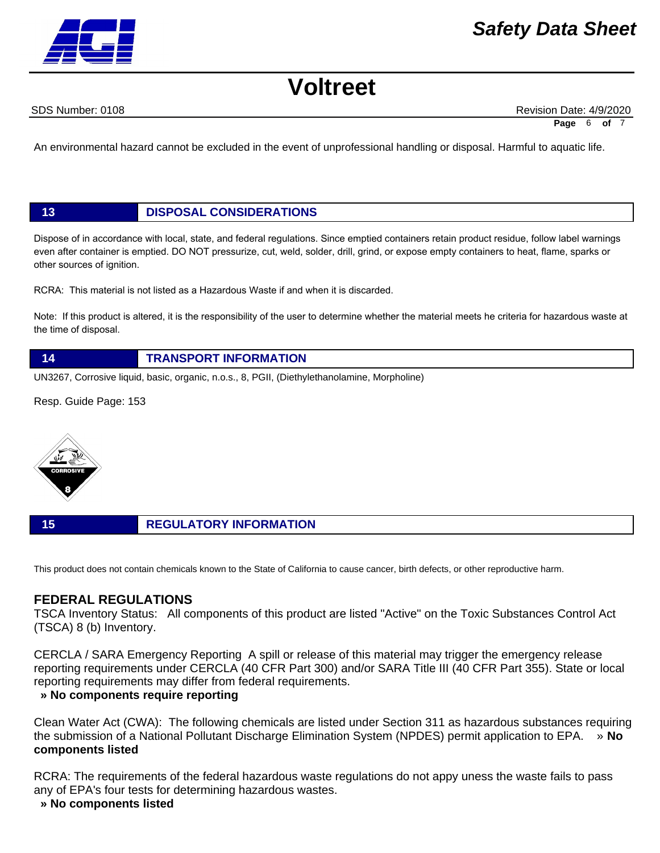SDS Number: 0108 **Revision Date: 4/9/2020** Revision Date: 4/9/2020

**Page** 6 of

An environmental hazard cannot be excluded in the event of unprofessional handling or disposal. Harmful to aquatic life.

### **13 DISPOSAL CONSIDERATIONS**

Dispose of in accordance with local, state, and federal regulations. Since emptied containers retain product residue, follow label warnings even after container is emptied. DO NOT pressurize, cut, weld, solder, drill, grind, or expose empty containers to heat, flame, sparks or other sources of ignition.

RCRA: This material is not listed as a Hazardous Waste if and when it is discarded.

Note: If this product is altered, it is the responsibility of the user to determine whether the material meets he criteria for hazardous waste at the time of disposal.



UN3267, Corrosive liquid, basic, organic, n.o.s., 8, PGII, (Diethylethanolamine, Morpholine)

Resp. Guide Page: 153



#### **15 REGULATORY INFORMATION**

This product does not contain chemicals known to the State of California to cause cancer, birth defects, or other reproductive harm.

### **FEDERAL REGULATIONS**

TSCA Inventory Status: All components of this product are listed "Active" on the Toxic Substances Control Act (TSCA) 8 (b) Inventory.

CERCLA / SARA Emergency Reporting A spill or release of this material may trigger the emergency release reporting requirements under CERCLA (40 CFR Part 300) and/or SARA Title III (40 CFR Part 355). State or local reporting requirements may differ from federal requirements.

### **» No components require reporting**

Clean Water Act (CWA): The following chemicals are listed under Section 311 as hazardous substances requiring the submission of a National Pollutant Discharge Elimination System (NPDES) permit application to EPA. » **No components listed**

RCRA: The requirements of the federal hazardous waste regulations do not appy uness the waste fails to pass any of EPA's four tests for determining hazardous wastes.

#### **» No components listed**